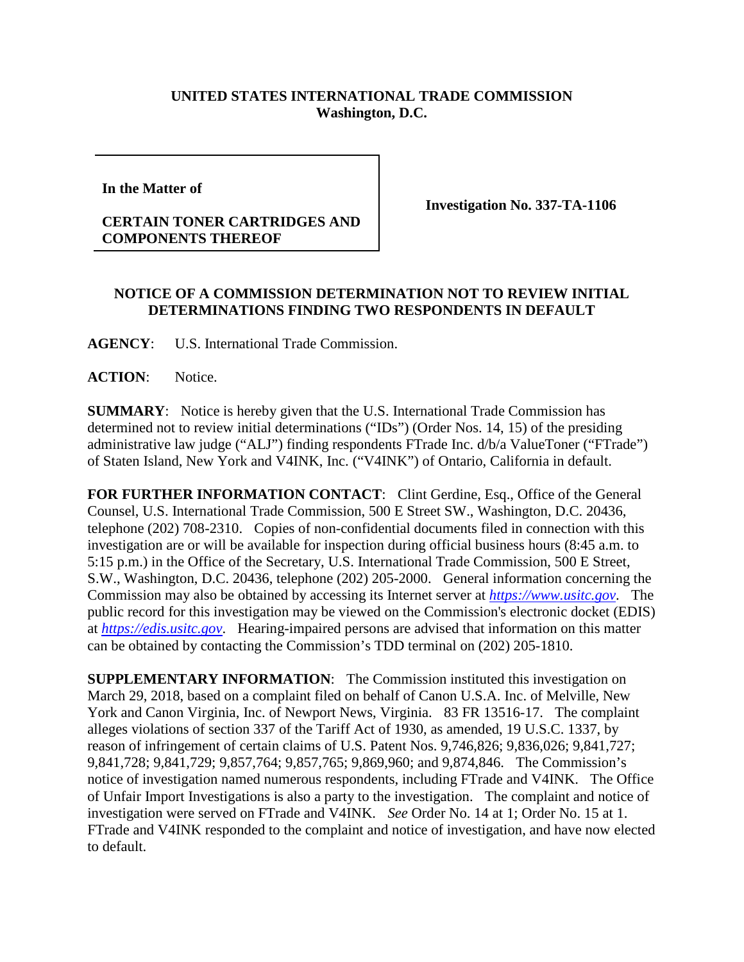## **UNITED STATES INTERNATIONAL TRADE COMMISSION Washington, D.C.**

**In the Matter of** 

## **CERTAIN TONER CARTRIDGES AND COMPONENTS THEREOF**

**Investigation No. 337-TA-1106**

## **NOTICE OF A COMMISSION DETERMINATION NOT TO REVIEW INITIAL DETERMINATIONS FINDING TWO RESPONDENTS IN DEFAULT**

**AGENCY**: U.S. International Trade Commission.

ACTION: Notice.

**SUMMARY**: Notice is hereby given that the U.S. International Trade Commission has determined not to review initial determinations ("IDs") (Order Nos. 14, 15) of the presiding administrative law judge ("ALJ") finding respondents FTrade Inc. d/b/a ValueToner ("FTrade") of Staten Island, New York and V4INK, Inc. ("V4INK") of Ontario, California in default.

FOR FURTHER INFORMATION CONTACT: Clint Gerdine, Esq., Office of the General Counsel, U.S. International Trade Commission, 500 E Street SW., Washington, D.C. 20436, telephone (202) 708-2310. Copies of non-confidential documents filed in connection with this investigation are or will be available for inspection during official business hours (8:45 a.m. to 5:15 p.m.) in the Office of the Secretary, U.S. International Trade Commission, 500 E Street, S.W., Washington, D.C. 20436, telephone (202) 205-2000. General information concerning the Commission may also be obtained by accessing its Internet server at *[https://www.usitc.gov](https://www.usitc.gov/)*. The public record for this investigation may be viewed on the Commission's electronic docket (EDIS) at *[https://edis.usitc.gov](https://edis.usitc.gov/)*. Hearing-impaired persons are advised that information on this matter can be obtained by contacting the Commission's TDD terminal on (202) 205-1810.

**SUPPLEMENTARY INFORMATION:** The Commission instituted this investigation on March 29, 2018, based on a complaint filed on behalf of Canon U.S.A. Inc. of Melville, New York and Canon Virginia, Inc. of Newport News, Virginia. 83 FR 13516-17. The complaint alleges violations of section 337 of the Tariff Act of 1930, as amended, 19 U.S.C. 1337, by reason of infringement of certain claims of U.S. Patent Nos. 9,746,826; 9,836,026; 9,841,727; 9,841,728; 9,841,729; 9,857,764; 9,857,765; 9,869,960; and 9,874,846. The Commission's notice of investigation named numerous respondents, including FTrade and V4INK. The Office of Unfair Import Investigations is also a party to the investigation. The complaint and notice of investigation were served on FTrade and V4INK. *See* Order No. 14 at 1; Order No. 15 at 1. FTrade and V4INK responded to the complaint and notice of investigation, and have now elected to default.